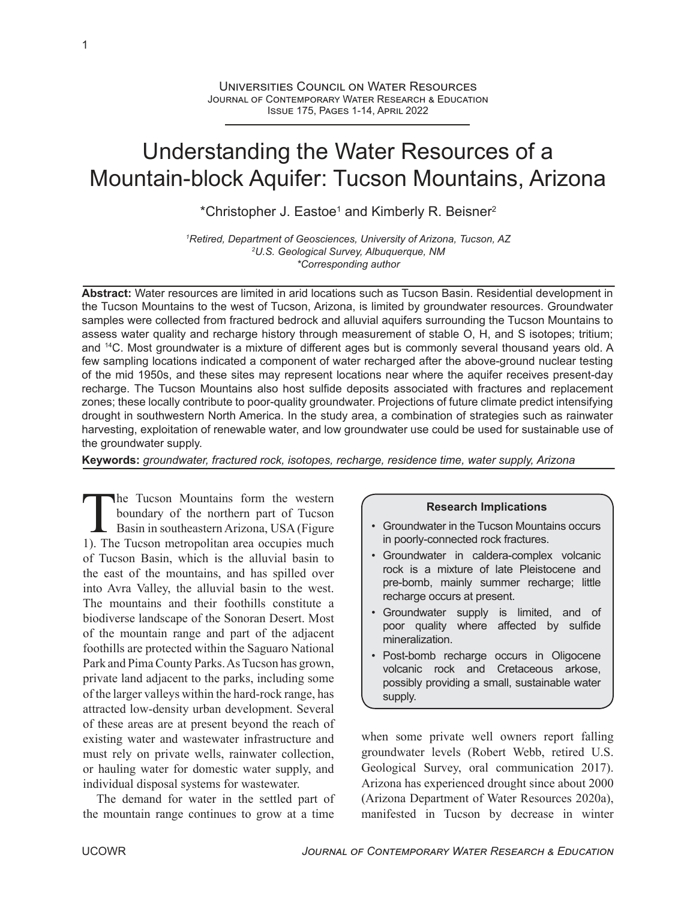# Understanding the Water Resources of a Mountain-block Aquifer: Tucson Mountains, Arizona

\*Christopher J. Eastoe<sup>1</sup> and Kimberly R. Beisner<sup>2</sup>

*<sup>1</sup>Retired, Department of Geosciences, University of Arizona, Tucson, AZ <sup>2</sup>U.S. Geological Survey, Albuquerque, NM \*Corresponding author*

**Abstract:** Water resources are limited in arid locations such as Tucson Basin. Residential development in the Tucson Mountains to the west of Tucson, Arizona, is limited by groundwater resources. Groundwater samples were collected from fractured bedrock and alluvial aquifers surrounding the Tucson Mountains to assess water quality and recharge history through measurement of stable O, H, and S isotopes; tritium; and <sup>14</sup>C. Most groundwater is a mixture of different ages but is commonly several thousand years old. A few sampling locations indicated a component of water recharged after the above-ground nuclear testing of the mid 1950s, and these sites may represent locations near where the aquifer receives present-day recharge. The Tucson Mountains also host sulfide deposits associated with fractures and replacement zones; these locally contribute to poor-quality groundwater. Projections of future climate predict intensifying drought in southwestern North America. In the study area, a combination of strategies such as rainwater harvesting, exploitation of renewable water, and low groundwater use could be used for sustainable use of the groundwater supply.

**Keywords:** *groundwater, fractured rock, isotopes, recharge, residence time, water supply, Arizona*

The Tucson Mountains form the western<br>boundary of the northern part of Tucson<br>Basin in southeastern Arizona, USA (Figure<br>1). The Tucson metropolitan area occupies much he Tucson Mountains form the western boundary of the northern part of Tucson Basin in southeastern Arizona, USA (Figure of Tucson Basin, which is the alluvial basin to the east of the mountains, and has spilled over into Avra Valley, the alluvial basin to the west. The mountains and their foothills constitute a biodiverse landscape of the Sonoran Desert. Most of the mountain range and part of the adjacent foothills are protected within the Saguaro National Park and Pima County Parks. As Tucson has grown, private land adjacent to the parks, including some of the larger valleys within the hard-rock range, has attracted low-density urban development. Several of these areas are at present beyond the reach of existing water and wastewater infrastructure and must rely on private wells, rainwater collection, or hauling water for domestic water supply, and individual disposal systems for wastewater.

The demand for water in the settled part of the mountain range continues to grow at a time

## **Research Implications**

- Groundwater in the Tucson Mountains occurs in poorly-connected rock fractures.
- Groundwater in caldera-complex volcanic rock is a mixture of late Pleistocene and pre-bomb, mainly summer recharge; little recharge occurs at present.
- Groundwater supply is limited, and of poor quality where affected by sulfide mineralization.
- Post-bomb recharge occurs in Oligocene volcanic rock and Cretaceous arkose, possibly providing a small, sustainable water supply.

when some private well owners report falling groundwater levels (Robert Webb, retired U.S. Geological Survey, oral communication 2017). Arizona has experienced drought since about 2000 (Arizona Department of Water Resources 2020a), manifested in Tucson by decrease in winter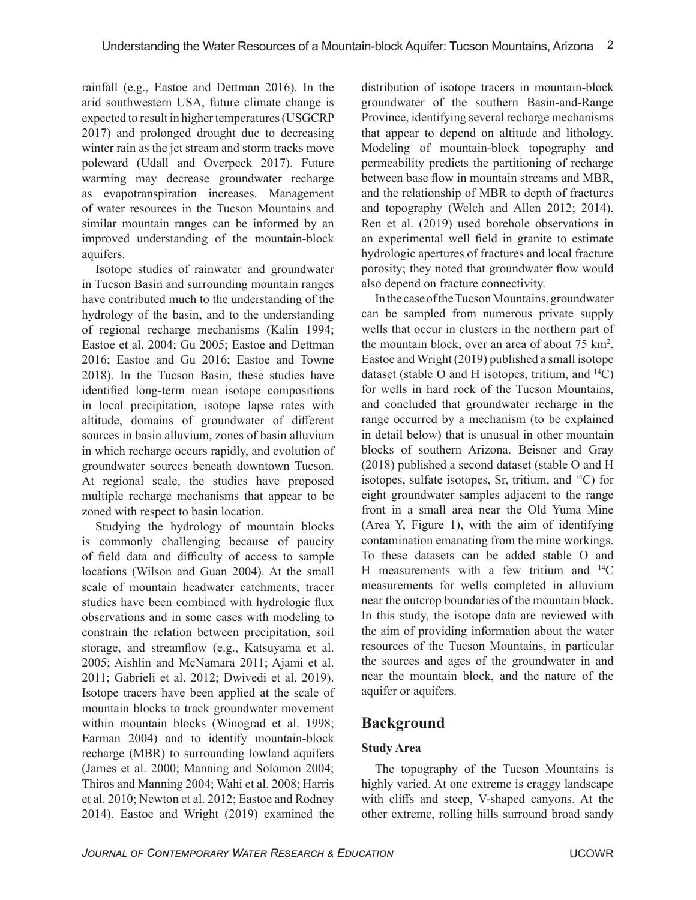rainfall (e.g., Eastoe and Dettman 2016). In the arid southwestern USA, future climate change is expected to result in higher temperatures (USGCRP 2017) and prolonged drought due to decreasing winter rain as the jet stream and storm tracks move poleward (Udall and Overpeck 2017). Future warming may decrease groundwater recharge as evapotranspiration increases. Management of water resources in the Tucson Mountains and similar mountain ranges can be informed by an improved understanding of the mountain-block aquifers.

Isotope studies of rainwater and groundwater in Tucson Basin and surrounding mountain ranges have contributed much to the understanding of the hydrology of the basin, and to the understanding of regional recharge mechanisms (Kalin 1994; Eastoe et al. 2004; Gu 2005; Eastoe and Dettman 2016; Eastoe and Gu 2016; Eastoe and Towne 2018). In the Tucson Basin, these studies have identified long-term mean isotope compositions in local precipitation, isotope lapse rates with altitude, domains of groundwater of different sources in basin alluvium, zones of basin alluvium in which recharge occurs rapidly, and evolution of groundwater sources beneath downtown Tucson. At regional scale, the studies have proposed multiple recharge mechanisms that appear to be zoned with respect to basin location.

Studying the hydrology of mountain blocks is commonly challenging because of paucity of field data and difficulty of access to sample locations (Wilson and Guan 2004). At the small scale of mountain headwater catchments, tracer studies have been combined with hydrologic flux observations and in some cases with modeling to constrain the relation between precipitation, soil storage, and streamflow (e.g., Katsuyama et al. 2005; Aishlin and McNamara 2011; Ajami et al. 2011; Gabrieli et al. 2012; Dwivedi et al. 2019). Isotope tracers have been applied at the scale of mountain blocks to track groundwater movement within mountain blocks (Winograd et al. 1998; Earman 2004) and to identify mountain-block recharge (MBR) to surrounding lowland aquifers (James et al. 2000; Manning and Solomon 2004; Thiros and Manning 2004; Wahi et al. 2008; Harris et al. 2010; Newton et al. 2012; Eastoe and Rodney 2014). Eastoe and Wright (2019) examined the

distribution of isotope tracers in mountain-block groundwater of the southern Basin-and-Range Province, identifying several recharge mechanisms that appear to depend on altitude and lithology. Modeling of mountain-block topography and permeability predicts the partitioning of recharge between base flow in mountain streams and MBR, and the relationship of MBR to depth of fractures and topography (Welch and Allen 2012; 2014). Ren et al. (2019) used borehole observations in an experimental well field in granite to estimate hydrologic apertures of fractures and local fracture porosity; they noted that groundwater flow would also depend on fracture connectivity.

In the case of the Tucson Mountains, groundwater can be sampled from numerous private supply wells that occur in clusters in the northern part of the mountain block, over an area of about 75 km<sup>2</sup> . Eastoe and Wright (2019) published a small isotope dataset (stable O and H isotopes, tritium, and  $^{14}C$ ) for wells in hard rock of the Tucson Mountains, and concluded that groundwater recharge in the range occurred by a mechanism (to be explained in detail below) that is unusual in other mountain blocks of southern Arizona. Beisner and Gray (2018) published a second dataset (stable O and H isotopes, sulfate isotopes, Sr, tritium, and  $^{14}C$ ) for eight groundwater samples adjacent to the range front in a small area near the Old Yuma Mine (Area Y, Figure 1), with the aim of identifying contamination emanating from the mine workings. To these datasets can be added stable O and H measurements with a few tritium and  $^{14}C$ measurements for wells completed in alluvium near the outcrop boundaries of the mountain block. In this study, the isotope data are reviewed with the aim of providing information about the water resources of the Tucson Mountains, in particular the sources and ages of the groundwater in and near the mountain block, and the nature of the aquifer or aquifers.

# **Background**

# **Study Area**

The topography of the Tucson Mountains is highly varied. At one extreme is craggy landscape with cliffs and steep, V-shaped canyons. At the other extreme, rolling hills surround broad sandy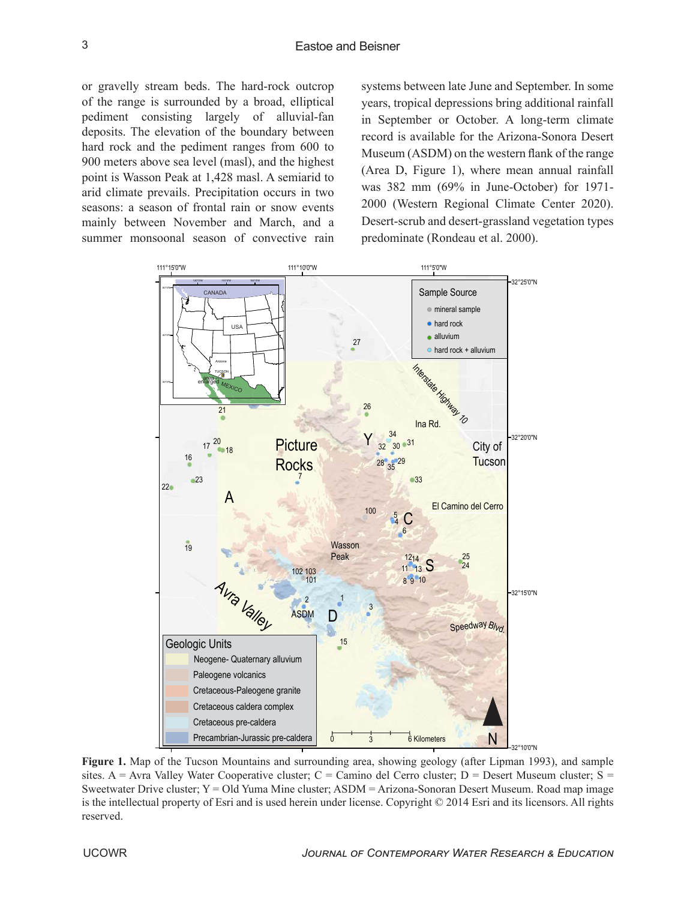or gravelly stream beds. The hard-rock outcrop of the range is surrounded by a broad, elliptical pediment consisting largely of alluvial-fan deposits. The elevation of the boundary between hard rock and the pediment ranges from 600 to 900 meters above sea level (masl), and the highest point is Wasson Peak at 1,428 masl. A semiarid to arid climate prevails. Precipitation occurs in two seasons: a season of frontal rain or snow events mainly between November and March, and a summer monsoonal season of convective rain

systems between late June and September. In some years, tropical depressions bring additional rainfall in September or October. A long-term climate record is available for the Arizona-Sonora Desert Museum (ASDM) on the western flank of the range (Area D, Figure 1), where mean annual rainfall was 382 mm (69% in June-October) for 1971- 2000 (Western Regional Climate Center 2020). Desert-scrub and desert-grassland vegetation types predominate (Rondeau et al. 2000).



**Figure 1.** Map of the Tucson Mountains and surrounding area, showing geology (after Lipman 1993), and sample sites. A = Avra Valley Water Cooperative cluster; C = Camino del Cerro cluster; D = Desert Museum cluster; S = Sweetwater Drive cluster; Y = Old Yuma Mine cluster; ASDM = Arizona-Sonoran Desert Museum. Road map image is the intellectual property of Esri and is used herein under license. Copyright © 2014 Esri and its licensors. All rights reserved.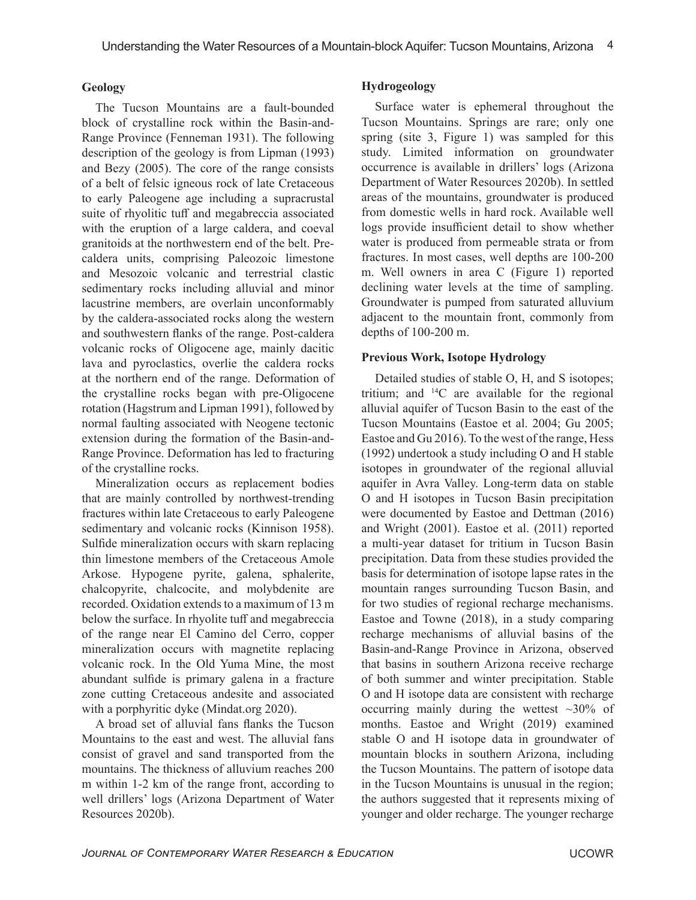### **Geology**

The Tucson Mountains are a fault-bounded block of crystalline rock within the Basin-and-Range Province (Fenneman 1931). The following description of the geology is from Lipman (1993) and Bezy (2005). The core of the range consists of a belt of felsic igneous rock of late Cretaceous to early Paleogene age including a supracrustal suite of rhyolitic tuff and megabreccia associated with the eruption of a large caldera, and coeval granitoids at the northwestern end of the belt. Precaldera units, comprising Paleozoic limestone and Mesozoic volcanic and terrestrial clastic sedimentary rocks including alluvial and minor lacustrine members, are overlain unconformably by the caldera-associated rocks along the western and southwestern flanks of the range. Post-caldera volcanic rocks of Oligocene age, mainly dacitic lava and pyroclastics, overlie the caldera rocks at the northern end of the range. Deformation of the crystalline rocks began with pre-Oligocene rotation (Hagstrum and Lipman 1991), followed by normal faulting associated with Neogene tectonic extension during the formation of the Basin-and-Range Province. Deformation has led to fracturing of the crystalline rocks.

Mineralization occurs as replacement bodies that are mainly controlled by northwest-trending fractures within late Cretaceous to early Paleogene sedimentary and volcanic rocks (Kinnison 1958). Sulfide mineralization occurs with skarn replacing thin limestone members of the Cretaceous Amole Arkose. Hypogene pyrite, galena, sphalerite, chalcopyrite, chalcocite, and molybdenite are recorded. Oxidation extends to a maximum of 13 m below the surface. In rhyolite tuff and megabreccia of the range near El Camino del Cerro, copper mineralization occurs with magnetite replacing volcanic rock. In the Old Yuma Mine, the most abundant sulfide is primary galena in a fracture zone cutting Cretaceous andesite and associated with a porphyritic dyke (Mindat.org 2020).

A broad set of alluvial fans flanks the Tucson Mountains to the east and west. The alluvial fans consist of gravel and sand transported from the mountains. The thickness of alluvium reaches 200 m within 1-2 km of the range front, according to well drillers' logs (Arizona Department of Water Resources 2020b).

#### **Hydrogeology**

Surface water is ephemeral throughout the Tucson Mountains. Springs are rare; only one spring (site 3, Figure 1) was sampled for this study. Limited information on groundwater occurrence is available in drillers' logs (Arizona Department of Water Resources 2020b). In settled areas of the mountains, groundwater is produced from domestic wells in hard rock. Available well logs provide insufficient detail to show whether water is produced from permeable strata or from fractures. In most cases, well depths are 100-200 m. Well owners in area C (Figure 1) reported declining water levels at the time of sampling. Groundwater is pumped from saturated alluvium adjacent to the mountain front, commonly from depths of 100-200 m.

### **Previous Work, Isotope Hydrology**

Detailed studies of stable O, H, and S isotopes; tritium; and  $^{14}C$  are available for the regional alluvial aquifer of Tucson Basin to the east of the Tucson Mountains (Eastoe et al. 2004; Gu 2005; Eastoe and Gu 2016). To the west of the range, Hess (1992) undertook a study including O and H stable isotopes in groundwater of the regional alluvial aquifer in Avra Valley. Long-term data on stable O and H isotopes in Tucson Basin precipitation were documented by Eastoe and Dettman (2016) and Wright (2001). Eastoe et al. (2011) reported a multi-year dataset for tritium in Tucson Basin precipitation. Data from these studies provided the basis for determination of isotope lapse rates in the mountain ranges surrounding Tucson Basin, and for two studies of regional recharge mechanisms. Eastoe and Towne (2018), in a study comparing recharge mechanisms of alluvial basins of the Basin-and-Range Province in Arizona, observed that basins in southern Arizona receive recharge of both summer and winter precipitation. Stable O and H isotope data are consistent with recharge occurring mainly during the wettest  $\sim$ 30% of months. Eastoe and Wright (2019) examined stable O and H isotope data in groundwater of mountain blocks in southern Arizona, including the Tucson Mountains. The pattern of isotope data in the Tucson Mountains is unusual in the region; the authors suggested that it represents mixing of younger and older recharge. The younger recharge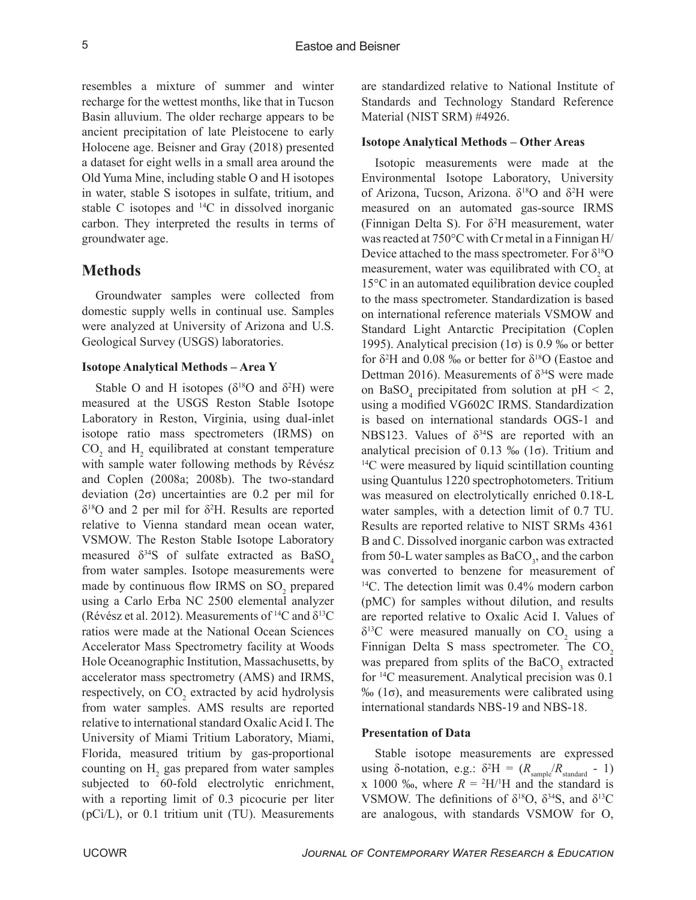resembles a mixture of summer and winter recharge for the wettest months, like that in Tucson Basin alluvium. The older recharge appears to be ancient precipitation of late Pleistocene to early Holocene age. Beisner and Gray (2018) presented a dataset for eight wells in a small area around the Old Yuma Mine, including stable O and H isotopes in water, stable S isotopes in sulfate, tritium, and stable C isotopes and <sup>14</sup>C in dissolved inorganic carbon. They interpreted the results in terms of groundwater age.

# **Methods**

Groundwater samples were collected from domestic supply wells in continual use. Samples were analyzed at University of Arizona and U.S. Geological Survey (USGS) laboratories.

#### **Isotope Analytical Methods – Area Y**

Stable O and H isotopes ( $\delta^{18}$ O and  $\delta^{2}$ H) were measured at the USGS Reston Stable Isotope Laboratory in Reston, Virginia, using dual-inlet isotope ratio mass spectrometers (IRMS) on  $\text{CO}_2$  and  $\text{H}_2$  equilibrated at constant temperature with sample water following methods by Révész and Coplen (2008a; 2008b). The two-standard deviation (2σ) uncertainties are 0.2 per mil for  $\delta^{18}$ O and 2 per mil for  $\delta^2$ H. Results are reported relative to Vienna standard mean ocean water, VSMOW. The Reston Stable Isotope Laboratory measured  $\delta^{34}S$  of sulfate extracted as BaSO<sub>4</sub> from water samples. Isotope measurements were made by continuous flow IRMS on  $SO_2$  prepared using a Carlo Erba NC 2500 elemental analyzer (Révész et al. 2012). Measurements of <sup>14</sup>C and  $\delta^{13}C$ ratios were made at the National Ocean Sciences Accelerator Mass Spectrometry facility at Woods Hole Oceanographic Institution, Massachusetts, by accelerator mass spectrometry (AMS) and IRMS, respectively, on  $CO_2$  extracted by acid hydrolysis from water samples. AMS results are reported relative to international standard Oxalic Acid I. The University of Miami Tritium Laboratory, Miami, Florida, measured tritium by gas-proportional counting on  $H_2$  gas prepared from water samples subjected to 60-fold electrolytic enrichment, with a reporting limit of 0.3 picocurie per liter (pCi/L), or 0.1 tritium unit (TU). Measurements

are standardized relative to National Institute of Standards and Technology Standard Reference Material (NIST SRM) #4926.

#### **Isotope Analytical Methods – Other Areas**

Isotopic measurements were made at the Environmental Isotope Laboratory, University of Arizona, Tucson, Arizona.  $\delta^{18}O$  and  $\delta^2H$  were measured on an automated gas-source IRMS (Finnigan Delta S). For  $\delta^2$ H measurement, water was reacted at 750°C with Cr metal in a Finnigan H/ Device attached to the mass spectrometer. For  $\delta^{18}O$ measurement, water was equilibrated with  $CO_2$  at 15°C in an automated equilibration device coupled to the mass spectrometer. Standardization is based on international reference materials VSMOW and Standard Light Antarctic Precipitation (Coplen 1995). Analytical precision  $(1\sigma)$  is 0.9 ‰ or better for  $\delta^2$ H and 0.08 ‰ or better for  $\delta^{18}$ O (Eastoe and Dettman 2016). Measurements of  $\delta^{34}S$  were made on BaSO<sub>4</sub> precipitated from solution at  $pH < 2$ , using a modified VG602C IRMS. Standardization is based on international standards OGS-1 and NBS123. Values of  $\delta^{34}S$  are reported with an analytical precision of 0.13 ‰ (1σ). Tritium and  $14C$  were measured by liquid scintillation counting using Quantulus 1220 spectrophotometers. Tritium was measured on electrolytically enriched 0.18-L water samples, with a detection limit of 0.7 TU. Results are reported relative to NIST SRMs 4361 B and C. Dissolved inorganic carbon was extracted from 50-L water samples as  $BaCO_3$ , and the carbon was converted to benzene for measurement of <sup>14</sup>C. The detection limit was 0.4% modern carbon (pMC) for samples without dilution, and results are reported relative to Oxalic Acid I. Values of  $\delta^{13}$ C were measured manually on CO<sub>2</sub> using a Finnigan Delta S mass spectrometer. The  $CO<sub>2</sub>$ was prepared from splits of the  $BaCO<sub>3</sub>$  extracted for <sup>14</sup>C measurement. Analytical precision was 0.1 ‰ (1σ), and measurements were calibrated using international standards NBS-19 and NBS-18.

#### **Presentation of Data**

Stable isotope measurements are expressed using  $\delta$ -notation, e.g.:  $\delta^2 H = (R_{\text{sample}}/R_{\text{standard}} - 1)$ x 1000 ‰, where  $R = {}^{2}H/{}^{1}H$  and the standard is VSMOW. The definitions of  $\delta^{18}O$ ,  $\delta^{34}S$ , and  $\delta^{13}C$ are analogous, with standards VSMOW for O,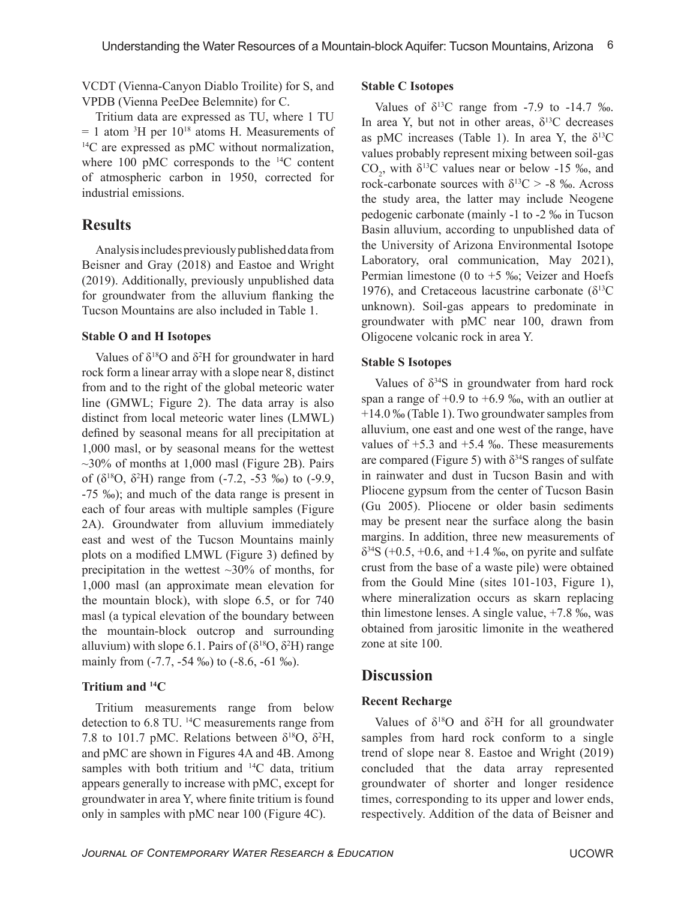VCDT (Vienna-Canyon Diablo Troilite) for S, and VPDB (Vienna PeeDee Belemnite) for C.

Tritium data are expressed as TU, where 1 TU  $= 1$  atom <sup>3</sup>H per  $10^{18}$  atoms H. Measurements of <sup>14</sup>C are expressed as pMC without normalization, where 100 pMC corresponds to the <sup>14</sup>C content of atmospheric carbon in 1950, corrected for industrial emissions.

# **Results**

Analysis includes previously published data from Beisner and Gray (2018) and Eastoe and Wright (2019). Additionally, previously unpublished data for groundwater from the alluvium flanking the Tucson Mountains are also included in Table 1.

## **Stable O and H Isotopes**

Values of  $\delta^{18}$ O and  $\delta^2$ H for groundwater in hard rock form a linear array with a slope near 8, distinct from and to the right of the global meteoric water line (GMWL; Figure 2). The data array is also distinct from local meteoric water lines (LMWL) defined by seasonal means for all precipitation at 1,000 masl, or by seasonal means for the wettest  $\sim$ 30% of months at 1,000 masl (Figure 2B). Pairs of ( $\delta^{18}O$ ,  $\delta^{2}H$ ) range from (-7.2, -53 ‰) to (-9.9, -75 ‰); and much of the data range is present in each of four areas with multiple samples (Figure 2A). Groundwater from alluvium immediately east and west of the Tucson Mountains mainly plots on a modified LMWL (Figure 3) defined by precipitation in the wettest  $\sim$ 30% of months, for 1,000 masl (an approximate mean elevation for the mountain block), with slope 6.5, or for 740 masl (a typical elevation of the boundary between the mountain-block outcrop and surrounding alluvium) with slope 6.1. Pairs of  $(\delta^{18}O, \delta^2H)$  range mainly from (-7.7, -54 ‰) to (-8.6, -61 ‰).

## **Tritium and <sup>14</sup>C**

Tritium measurements range from below detection to 6.8 TU. <sup>14</sup>C measurements range from 7.8 to 101.7 pMC. Relations between  $\delta^{18}O$ ,  $\delta^2H$ , and pMC are shown in Figures 4A and 4B. Among samples with both tritium and <sup>14</sup>C data, tritium appears generally to increase with pMC, except for groundwater in area Y, where finite tritium is found only in samples with pMC near 100 (Figure 4C).

### **Stable C Isotopes**

Values of  $\delta^{13}$ C range from -7.9 to -14.7 ‰. In area Y, but not in other areas,  $\delta^{13}$ C decreases as pMC increases (Table 1). In area Y, the  $\delta^{13}C$ values probably represent mixing between soil-gas  $CO_2$ , with  $\delta^{13}C$  values near or below -15 ‰, and rock-carbonate sources with  $\delta^{13}C > -8$  ‰. Across the study area, the latter may include Neogene pedogenic carbonate (mainly -1 to -2 ‰ in Tucson Basin alluvium, according to unpublished data of the University of Arizona Environmental Isotope Laboratory, oral communication, May 2021), Permian limestone (0 to  $+5$  ‰; Veizer and Hoefs 1976), and Cretaceous lacustrine carbonate ( $\delta^{13}$ C unknown). Soil-gas appears to predominate in groundwater with pMC near 100, drawn from Oligocene volcanic rock in area Y.

## **Stable S Isotopes**

Values of  $\delta^{34}S$  in groundwater from hard rock span a range of  $+0.9$  to  $+6.9$  ‰, with an outlier at +14.0 ‰ (Table 1). Two groundwater samples from alluvium, one east and one west of the range, have values of  $+5.3$  and  $+5.4$  ‰. These measurements are compared (Figure 5) with  $\delta^{34}$ S ranges of sulfate in rainwater and dust in Tucson Basin and with Pliocene gypsum from the center of Tucson Basin (Gu 2005). Pliocene or older basin sediments may be present near the surface along the basin margins. In addition, three new measurements of  $\delta^{34}S$  (+0.5, +0.6, and +1.4 ‰, on pyrite and sulfate crust from the base of a waste pile) were obtained from the Gould Mine (sites 101-103, Figure 1), where mineralization occurs as skarn replacing thin limestone lenses. A single value, +7.8 ‰, was obtained from jarositic limonite in the weathered zone at site 100.

# **Discussion**

## **Recent Recharge**

Values of  $\delta^{18}$ O and  $\delta^{2}$ H for all groundwater samples from hard rock conform to a single trend of slope near 8. Eastoe and Wright (2019) concluded that the data array represented groundwater of shorter and longer residence times, corresponding to its upper and lower ends, respectively. Addition of the data of Beisner and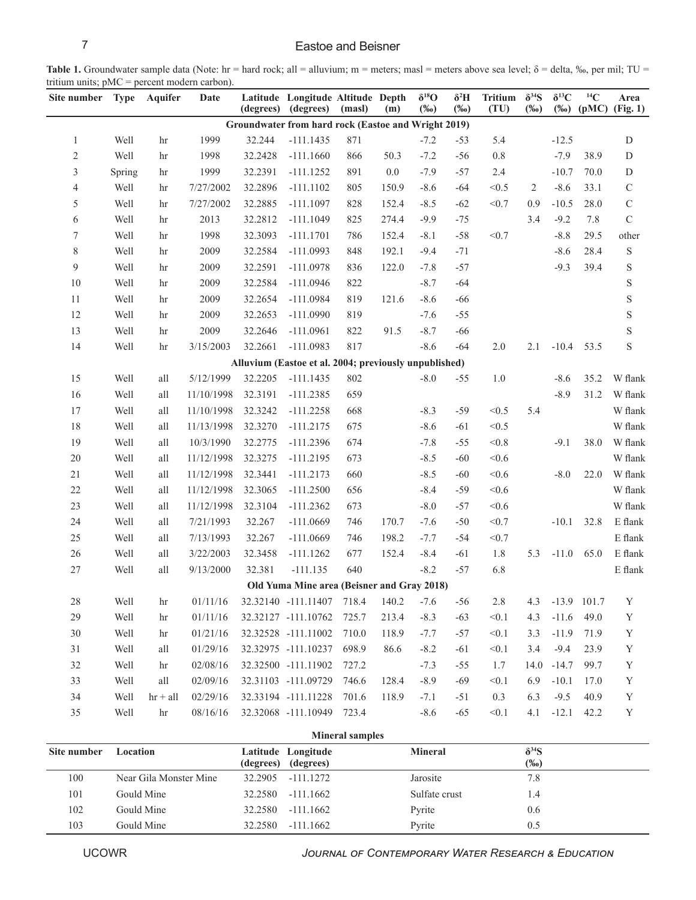## 7 Eastoe and Beisner

Table 1. Groundwater sample data (Note: hr = hard rock; all = alluvium; m = meters; masl = meters above sea level; δ = delta, ‰, per mil; TU = tritium units; pMC = percent modern carbon).  $\overline{\phantom{a}}$ 

| Site number                                         | <b>Type</b> | Aquifer              | Date       | (degrees) | Latitude Longitude Altitude Depth<br>(degrees)        | (masl) | (m)   | $\delta^{18}O$<br>$(\%0)$ | $\delta^2 H$<br>$(\%0)$ | <b>Tritium</b><br>(TU) | $\delta^{34}S$<br>$(\%0)$ | $\delta^{13}C$<br>$(\%0)$ | ${}^{14}C$    | Area<br>$(pMC)$ (Fig. 1) |
|-----------------------------------------------------|-------------|----------------------|------------|-----------|-------------------------------------------------------|--------|-------|---------------------------|-------------------------|------------------------|---------------------------|---------------------------|---------------|--------------------------|
| Groundwater from hard rock (Eastoe and Wright 2019) |             |                      |            |           |                                                       |        |       |                           |                         |                        |                           |                           |               |                          |
| $\mathbf{1}$                                        | Well        | hr                   | 1999       | 32.244    | $-111.1435$                                           | 871    |       | $-7.2$                    | $-53$                   | 5.4                    |                           | $-12.5$                   |               | D                        |
| $\sqrt{2}$                                          | Well        | hr                   | 1998       | 32.2428   | $-111.1660$                                           | 866    | 50.3  | $-7.2$                    | $-56$                   | 0.8                    |                           | $-7.9$                    | 38.9          | ${\rm D}$                |
| $\mathfrak{Z}$                                      | Spring      | hr                   | 1999       | 32.2391   | $-111.1252$                                           | 891    | 0.0   | $-7.9$                    | $-57$                   | 2.4                    |                           | $-10.7$                   | 70.0          | ${\rm D}$                |
| $\overline{4}$                                      | Well        | hr                   | 7/27/2002  | 32.2896   | $-111.1102$                                           | 805    | 150.9 | $-8.6$                    | $-64$                   | < 0.5                  | 2                         | $-8.6$                    | 33.1          | $\mathsf C$              |
| 5                                                   | Well        | hr                   | 7/27/2002  | 32.2885   | $-111.1097$                                           | 828    | 152.4 | $-8.5$                    | $-62$                   | < 0.7                  | 0.9                       | $-10.5$                   | 28.0          | $\mathsf C$              |
| 6                                                   | Well        | hr                   | 2013       | 32.2812   | $-111.1049$                                           | 825    | 274.4 | $-9.9$                    | $-75$                   |                        | 3.4                       | $-9.2$                    | 7.8           | $\mathbf C$              |
| $\overline{7}$                                      | Well        | hr                   | 1998       | 32.3093   | $-111.1701$                                           | 786    | 152.4 | $-8.1$                    | $-58$                   | < 0.7                  |                           | $-8.8$                    | 29.5          | other                    |
| $8\,$                                               | Well        | hr                   | 2009       | 32.2584   | $-111.0993$                                           | 848    | 192.1 | $-9.4$                    | $-71$                   |                        |                           | $-8.6$                    | 28.4          | $\mathbf S$              |
| 9                                                   | Well        | hr                   | 2009       | 32.2591   | $-111.0978$                                           | 836    | 122.0 | $-7.8$                    | $-57$                   |                        |                           | $-9.3$                    | 39.4          | S                        |
| 10                                                  | Well        | hr                   | 2009       | 32.2584   | $-111.0946$                                           | 822    |       | $-8.7$                    | $-64$                   |                        |                           |                           |               | $\mathbf S$              |
| 11                                                  | Well        | hr                   | 2009       | 32.2654   | $-111.0984$                                           | 819    | 121.6 | $-8.6$                    | $-66$                   |                        |                           |                           |               | $\mathbf S$              |
| 12                                                  | Well        | hr                   | 2009       | 32.2653   | $-111.0990$                                           | 819    |       | $-7.6$                    | $-55$                   |                        |                           |                           |               | $\mathbf S$              |
| 13                                                  | Well        | hr                   | 2009       | 32.2646   | $-111.0961$                                           | 822    | 91.5  | $-8.7$                    | $-66$                   |                        |                           |                           |               | $\mathbf S$              |
| 14                                                  | Well        | hr                   | 3/15/2003  | 32.2661   | $-111.0983$                                           | 817    |       | $-8.6$                    | $-64$                   | 2.0                    | 2.1                       | $-10.4$                   | 53.5          | $\mathbf S$              |
|                                                     |             |                      |            |           | Alluvium (Eastoe et al. 2004; previously unpublished) |        |       |                           |                         |                        |                           |                           |               |                          |
| 15                                                  | Well        | all                  | 5/12/1999  | 32.2205   | $-111.1435$                                           | 802    |       | $-8.0$                    | $-55$                   | 1.0                    |                           | $-8.6$                    | 35.2          | W flank                  |
| 16                                                  | Well        | all                  | 11/10/1998 | 32.3191   | $-111.2385$                                           | 659    |       |                           |                         |                        |                           | $-8.9$                    | 31.2          | W flank                  |
| 17                                                  | Well        | all                  | 11/10/1998 | 32.3242   | $-111.2258$                                           | 668    |       | $-8.3$                    | $-59$                   | < 0.5                  | 5.4                       |                           |               | W flank                  |
| 18                                                  | Well        | all                  | 11/13/1998 | 32.3270   | $-111.2175$                                           | 675    |       | $-8.6$                    | $-61$                   | < 0.5                  |                           |                           |               | W flank                  |
| 19                                                  | Well        | $\operatorname{all}$ | 10/3/1990  | 32.2775   | $-111.2396$                                           | 674    |       | $-7.8$                    | $-55$                   | $<0.8$                 |                           | $-9.1$                    | 38.0          | W flank                  |
| $20\,$                                              | Well        | all                  | 11/12/1998 | 32.3275   | $-111.2195$                                           | 673    |       | $-8.5$                    | $-60$                   | < 0.6                  |                           |                           |               | W flank                  |
| $21\,$                                              | Well        | all                  | 11/12/1998 | 32.3441   | $-111.2173$                                           | 660    |       | $-8.5$                    | $-60$                   | < 0.6                  |                           | $-8.0$                    | 22.0          | W flank                  |
| $22\,$                                              | Well        | all                  | 11/12/1998 | 32.3065   | $-111.2500$                                           | 656    |       | $-8.4$                    | $-59$                   | < 0.6                  |                           |                           |               | W flank                  |
| 23                                                  | Well        | all                  | 11/12/1998 | 32.3104   | $-111.2362$                                           | 673    |       | $-8.0$                    | $-57$                   | < 0.6                  |                           |                           |               | W flank                  |
| 24                                                  | Well        | all                  | 7/21/1993  | 32.267    | $-111.0669$                                           | 746    | 170.7 | $-7.6$                    | $-50$                   | < 0.7                  |                           | $-10.1$                   | 32.8          | $\cal E$ flank           |
| $25\,$                                              | Well        | all                  | 7/13/1993  | 32.267    | $-111.0669$                                           | 746    | 198.2 | $-7.7$                    | $-54$                   | < 0.7                  |                           |                           |               | $\to$ flank              |
| $26\,$                                              | Well        | all                  | 3/22/2003  | 32.3458   | $-111.1262$                                           | 677    | 152.4 | $-8.4$                    | $-61$                   | 1.8                    | 5.3                       | $-11.0$                   | 65.0          | $\cal E$ flank           |
| $27\,$                                              | Well        | all                  | 9/13/2000  | 32.381    | $-111.135$                                            | 640    |       | $-8.2$                    | $-57$                   | 6.8                    |                           |                           |               | ${\bf E}$ flank          |
|                                                     |             |                      |            |           | Old Yuma Mine area (Beisner and Gray 2018)            |        |       |                           |                         |                        |                           |                           |               |                          |
| 28                                                  | Well        | $\ln$                | 01/11/16   |           | 32.32140 -111.11407                                   | 718.4  | 140.2 | $-7.6$                    | $-56$                   | 2.8                    | 4.3                       |                           | $-13.9$ 101.7 | $\mathbf Y$              |
| 29                                                  | Well        | hr                   | 01/11/16   |           | 32.32127 -111.10762                                   | 725.7  | 213.4 | $-8.3$                    | $-63$                   | < 0.1                  | 4.3                       | $-11.6$                   | 49.0          | $\mathbf Y$              |
| $30\,$                                              | Well        | hr                   | 01/21/16   |           | 32.32528 -111.11002                                   | 710.0  | 118.9 | $-7.7$                    | $-57$                   | < 0.1                  | 3.3                       | $-11.9$                   | 71.9          | $\mathbf Y$              |
| 31                                                  | Well        | all                  | 01/29/16   |           | 32.32975 -111.10237                                   | 698.9  | 86.6  | $-8.2$                    | $-61$                   | < 0.1                  | 3.4                       | $-9.4$                    | 23.9          | $\mathbf Y$              |
| 32                                                  | Well        | hr                   | 02/08/16   |           | 32.32500 -111.11902                                   | 727.2  |       | $-7.3$                    | $-55$                   | 1.7                    | 14.0                      | $-14.7$                   | 99.7          | $\mathbf Y$              |
| 33                                                  | Well        | all                  | 02/09/16   |           | 32.31103 -111.09729                                   | 746.6  | 128.4 | $-8.9$                    | $-69$                   | < 0.1                  | 6.9                       | $-10.1$                   | 17.0          | $\mathbf Y$              |
| 34                                                  | Well        | $hr + all$           | 02/29/16   |           | 32.33194 -111.11228                                   | 701.6  | 118.9 | $-7.1$                    | $-51$                   | 0.3                    | 6.3                       | $-9.5$                    | 40.9          | Y                        |
| 35                                                  | Well        | hr                   | 08/16/16   |           | 32.32068 -111.10949                                   | 723.4  |       | $-8.6$                    | $-65$                   | < 0.1                  | 4.1                       | $-12.1$                   | 42.2          | $\mathbf Y$              |

| <b>Mineral samples</b> |                        |           |                                 |                |                           |  |  |  |  |
|------------------------|------------------------|-----------|---------------------------------|----------------|---------------------------|--|--|--|--|
| Site number            | Location               | (degrees) | Latitude Longitude<br>(degrees) | <b>Mineral</b> | $\delta^{34}S$<br>$(\%0)$ |  |  |  |  |
| 100                    | Near Gila Monster Mine | 32.2905   | $-111.1272$                     | Jarosite       | 7.8                       |  |  |  |  |
| 101                    | Gould Mine             | 32.2580   | $-111.1662$                     | Sulfate crust  | 1.4                       |  |  |  |  |
| 102                    | Gould Mine             | 32.2580   | $-111.1662$                     | Pyrite         | 0.6                       |  |  |  |  |
| 103                    | Gould Mine             | 32.2580   | $-111.1662$                     | Pyrite         | 0.5                       |  |  |  |  |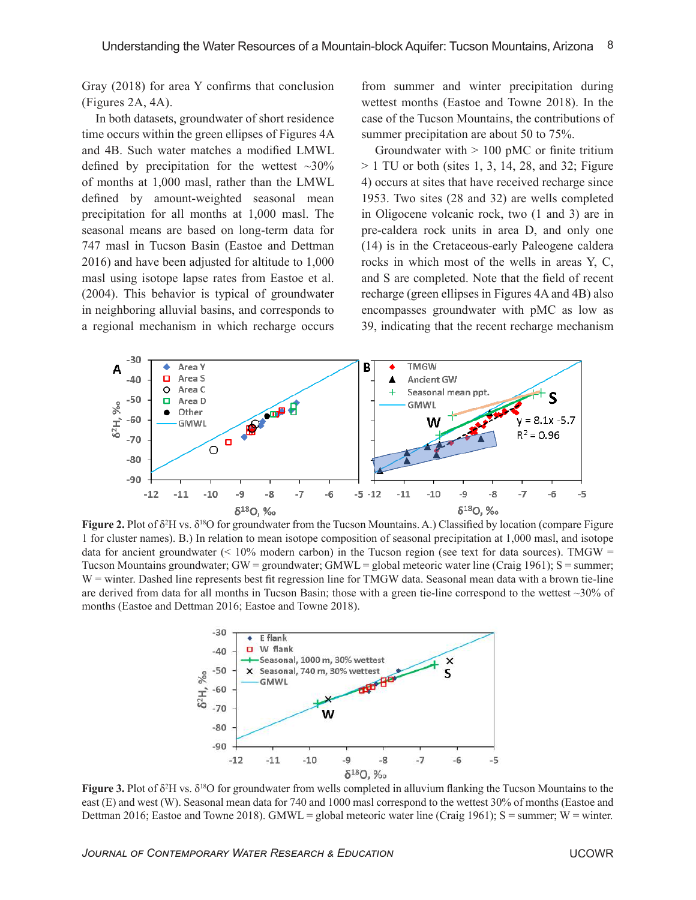Gray (2018) for area Y confirms that conclusion (Figures 2A, 4A).

In both datasets, groundwater of short residence time occurs within the green ellipses of Figures 4A and 4B. Such water matches a modified LMWL defined by precipitation for the wettest  $\sim 30\%$ of months at 1,000 masl, rather than the LMWL defined by amount-weighted seasonal mean precipitation for all months at 1,000 masl. The seasonal means are based on long-term data for 747 masl in Tucson Basin (Eastoe and Dettman 2016) and have been adjusted for altitude to 1,000 masl using isotope lapse rates from Eastoe et al. (2004). This behavior is typical of groundwater in neighboring alluvial basins, and corresponds to a regional mechanism in which recharge occurs

from summer and winter precipitation during wettest months (Eastoe and Towne 2018). In the case of the Tucson Mountains, the contributions of summer precipitation are about 50 to 75%.

Groundwater with  $> 100$  pMC or finite tritium  $> 1$  TU or both (sites 1, 3, 14, 28, and 32; Figure 4) occurs at sites that have received recharge since 1953. Two sites (28 and 32) are wells completed in Oligocene volcanic rock, two (1 and 3) are in pre-caldera rock units in area D, and only one (14) is in the Cretaceous-early Paleogene caldera rocks in which most of the wells in areas Y, C, and S are completed. Note that the field of recent recharge (green ellipses in Figures 4A and 4B) also encompasses groundwater with pMC as low as 39, indicating that the recent recharge mechanism



**Figure 2.** Plot of δ<sup>2</sup>H vs. δ<sup>18</sup>O for groundwater from the Tucson Mountains. A.) Classified by location (compare Figure 1 for cluster names). B.) In relation to mean isotope composition of seasonal precipitation at 1,000 masl, and isotope data for ancient groundwater  $($  < 10% modern carbon) in the Tucson region (see text for data sources). TMGW = Tucson Mountains groundwater; GW = groundwater; GMWL = global meteoric water line (Craig 1961); S = summer; W = winter. Dashed line represents best fit regression line for TMGW data. Seasonal mean data with a brown tie-line are derived from data for all months in Tucson Basin; those with a green tie-line correspond to the wettest  $\sim$ 30% of months (Eastoe and Dettman 2016; Eastoe and Towne 2018).



**Figure 3.** Plot of δ<sup>2</sup>H vs. δ<sup>18</sup>O for groundwater from wells completed in alluvium flanking the Tucson Mountains to the east (E) and west (W). Seasonal mean data for 740 and 1000 masl correspond to the wettest 30% of months (Eastoe and Dettman 2016; Eastoe and Towne 2018). GMWL = global meteoric water line (Craig 1961);  $S =$  summer;  $W =$  winter.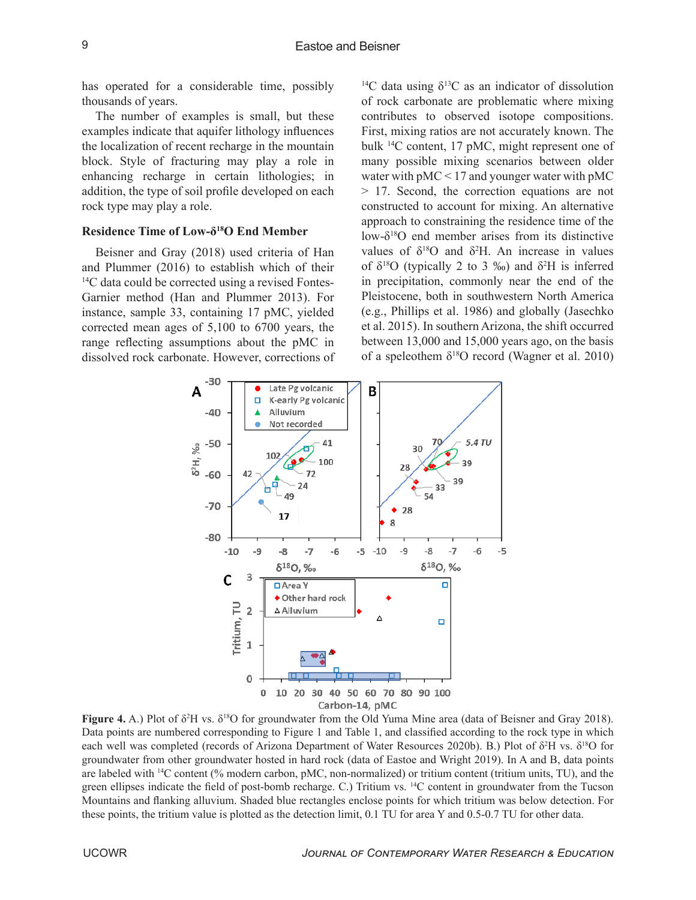has operated for a considerable time, possibly thousands of years.

The number of examples is small, but these examples indicate that aquifer lithology influences the localization of recent recharge in the mountain block. Style of fracturing may play a role in enhancing recharge in certain lithologies; in addition, the type of soil profile developed on each rock type may play a role.

### **Residence Time of Low-δ<sup>18</sup>O End Member**

Beisner and Gray (2018) used criteria of Han and Plummer (2016) to establish which of their <sup>14</sup>C data could be corrected using a revised Fontes-Garnier method (Han and Plummer 2013). For instance, sample 33, containing 17 pMC, yielded corrected mean ages of 5,100 to 6700 years, the range reflecting assumptions about the pMC in dissolved rock carbonate. However, corrections of

<sup>14</sup>C data using  $\delta^{13}$ C as an indicator of dissolution of rock carbonate are problematic where mixing contributes to observed isotope compositions. First, mixing ratios are not accurately known. The bulk <sup>14</sup>C content, 17 pMC, might represent one of many possible mixing scenarios between older water with  $pMC < 17$  and younger water with  $pMC$ > 17. Second, the correction equations are not constructed to account for mixing. An alternative approach to constraining the residence time of the low- $\delta^{18}$ O end member arises from its distinctive values of  $\delta^{18}$ O and  $\delta^2$ H. An increase in values of δ<sup>18</sup>O (typically 2 to 3 ‰) and δ<sup>2</sup>H is inferred in precipitation, commonly near the end of the Pleistocene, both in southwestern North America (e.g., Phillips et al. 1986) and globally (Jasechko et al. 2015). In southern Arizona, the shift occurred between 13,000 and 15,000 years ago, on the basis of a speleothem  $\delta^{18}O$  record (Wagner et al. 2010)



**Figure 4.** A.) Plot of δ<sup>2</sup>H vs. δ<sup>18</sup>O for groundwater from the Old Yuma Mine area (data of Beisner and Gray 2018). Data points are numbered corresponding to Figure 1 and Table 1, and classified according to the rock type in which each well was completed (records of Arizona Department of Water Resources 2020b). B.) Plot of δ<sup>2</sup>H vs. δ<sup>18</sup>O for groundwater from other groundwater hosted in hard rock (data of Eastoe and Wright 2019). In A and B, data points are labeled with <sup>14</sup>C content (% modern carbon, pMC, non-normalized) or tritium content (tritium units, TU), and the green ellipses indicate the field of post-bomb recharge. C.) Tritium vs. <sup>14</sup>C content in groundwater from the Tucson Mountains and flanking alluvium. Shaded blue rectangles enclose points for which tritium was below detection. For these points, the tritium value is plotted as the detection limit, 0.1 TU for area Y and 0.5-0.7 TU for other data.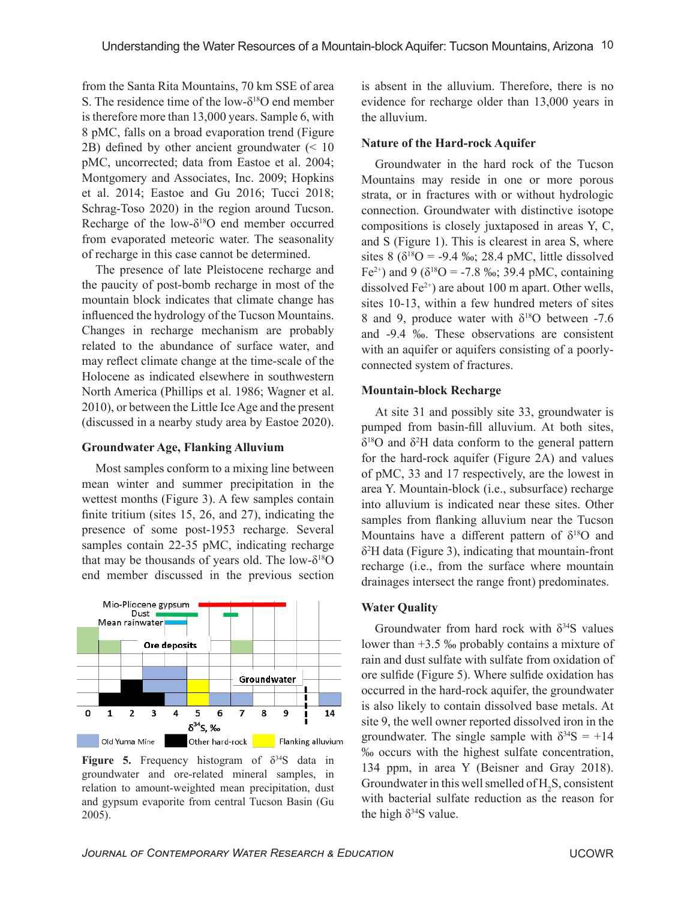from the Santa Rita Mountains, 70 km SSE of area S. The residence time of the low- $\delta^{18}$ O end member is therefore more than 13,000 years. Sample 6, with 8 pMC, falls on a broad evaporation trend (Figure 2B) defined by other ancient groundwater (< 10 pMC, uncorrected; data from Eastoe et al. 2004; Montgomery and Associates, Inc. 2009; Hopkins et al. 2014; Eastoe and Gu 2016; Tucci 2018; Schrag-Toso 2020) in the region around Tucson. Recharge of the low- $\delta^{18}O$  end member occurred from evaporated meteoric water. The seasonality of recharge in this case cannot be determined.

The presence of late Pleistocene recharge and the paucity of post-bomb recharge in most of the mountain block indicates that climate change has influenced the hydrology of the Tucson Mountains. Changes in recharge mechanism are probably related to the abundance of surface water, and may reflect climate change at the time-scale of the Holocene as indicated elsewhere in southwestern North America (Phillips et al. 1986; Wagner et al. 2010), or between the Little Ice Age and the present (discussed in a nearby study area by Eastoe 2020).

#### **Groundwater Age, Flanking Alluvium**

Most samples conform to a mixing line between mean winter and summer precipitation in the wettest months (Figure 3). A few samples contain finite tritium (sites 15, 26, and 27), indicating the presence of some post-1953 recharge. Several samples contain 22-35 pMC, indicating recharge that may be thousands of years old. The low- $\delta^{18}O$ end member discussed in the previous section



**Figure 5.** Frequency histogram of  $\delta^{34}S$  data in groundwater and ore-related mineral samples, in relation to amount-weighted mean precipitation, dust and gypsum evaporite from central Tucson Basin (Gu 2005).

is absent in the alluvium. Therefore, there is no evidence for recharge older than 13,000 years in the alluvium.

#### **Nature of the Hard-rock Aquifer**

Groundwater in the hard rock of the Tucson Mountains may reside in one or more porous strata, or in fractures with or without hydrologic connection. Groundwater with distinctive isotope compositions is closely juxtaposed in areas Y, C, and S (Figure 1). This is clearest in area S, where sites 8 ( $\delta^{18}O = -9.4$  ‰; 28.4 pMC, little dissolved Fe<sup>2+</sup>) and 9 ( $\delta^{18}O$  = -7.8 ‰; 39.4 pMC, containing dissolved  $Fe^{2+}$ ) are about 100 m apart. Other wells, sites 10-13, within a few hundred meters of sites 8 and 9, produce water with  $\delta^{18}$ O between -7.6 and -9.4 ‰. These observations are consistent with an aquifer or aquifers consisting of a poorlyconnected system of fractures.

#### **Mountain-block Recharge**

At site 31 and possibly site 33, groundwater is pumped from basin-fill alluvium. At both sites,  $\delta^{18}$ O and  $\delta^2$ H data conform to the general pattern for the hard-rock aquifer (Figure 2A) and values of pMC, 33 and 17 respectively, are the lowest in area Y. Mountain-block (i.e., subsurface) recharge into alluvium is indicated near these sites. Other samples from flanking alluvium near the Tucson Mountains have a different pattern of  $\delta^{18}O$  and δ <sup>2</sup>H data (Figure 3), indicating that mountain-front recharge (i.e., from the surface where mountain drainages intersect the range front) predominates.

#### **Water Quality**

Groundwater from hard rock with  $\delta^{34}S$  values lower than +3.5 ‰ probably contains a mixture of rain and dust sulfate with sulfate from oxidation of ore sulfide (Figure 5). Where sulfide oxidation has occurred in the hard-rock aquifer, the groundwater is also likely to contain dissolved base metals. At site 9, the well owner reported dissolved iron in the groundwater. The single sample with  $\delta^{34}S = +14$ ‰ occurs with the highest sulfate concentration, 134 ppm, in area Y (Beisner and Gray 2018). Groundwater in this well smelled of  $H_2S$ , consistent with bacterial sulfate reduction as the reason for the high  $\delta^{34}S$  value.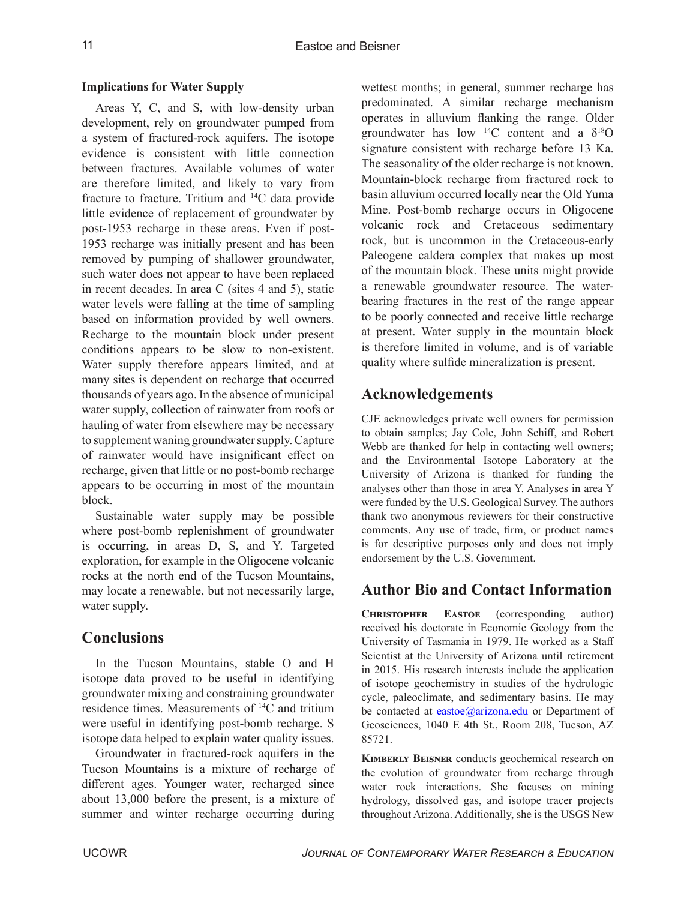## **Implications for Water Supply**

Areas Y, C, and S, with low-density urban development, rely on groundwater pumped from a system of fractured-rock aquifers. The isotope evidence is consistent with little connection between fractures. Available volumes of water are therefore limited, and likely to vary from fracture to fracture. Tritium and <sup>14</sup>C data provide little evidence of replacement of groundwater by post-1953 recharge in these areas. Even if post-1953 recharge was initially present and has been removed by pumping of shallower groundwater, such water does not appear to have been replaced in recent decades. In area C (sites 4 and 5), static water levels were falling at the time of sampling based on information provided by well owners. Recharge to the mountain block under present conditions appears to be slow to non-existent. Water supply therefore appears limited, and at many sites is dependent on recharge that occurred thousands of years ago. In the absence of municipal water supply, collection of rainwater from roofs or hauling of water from elsewhere may be necessary to supplement waning groundwater supply. Capture of rainwater would have insignificant effect on recharge, given that little or no post-bomb recharge appears to be occurring in most of the mountain block.

Sustainable water supply may be possible where post-bomb replenishment of groundwater is occurring, in areas D, S, and Y. Targeted exploration, for example in the Oligocene volcanic rocks at the north end of the Tucson Mountains, may locate a renewable, but not necessarily large, water supply.

# **Conclusions**

In the Tucson Mountains, stable O and H isotope data proved to be useful in identifying groundwater mixing and constraining groundwater residence times. Measurements of <sup>14</sup>C and tritium were useful in identifying post-bomb recharge. S isotope data helped to explain water quality issues.

Groundwater in fractured-rock aquifers in the Tucson Mountains is a mixture of recharge of different ages. Younger water, recharged since about 13,000 before the present, is a mixture of summer and winter recharge occurring during wettest months; in general, summer recharge has predominated. A similar recharge mechanism operates in alluvium flanking the range. Older groundwater has low <sup>14</sup>C content and a  $\delta^{18}O$ signature consistent with recharge before 13 Ka. The seasonality of the older recharge is not known. Mountain-block recharge from fractured rock to basin alluvium occurred locally near the Old Yuma Mine. Post-bomb recharge occurs in Oligocene volcanic rock and Cretaceous sedimentary rock, but is uncommon in the Cretaceous-early Paleogene caldera complex that makes up most of the mountain block. These units might provide a renewable groundwater resource. The waterbearing fractures in the rest of the range appear to be poorly connected and receive little recharge at present. Water supply in the mountain block is therefore limited in volume, and is of variable quality where sulfide mineralization is present.

# **Acknowledgements**

CJE acknowledges private well owners for permission to obtain samples; Jay Cole, John Schiff, and Robert Webb are thanked for help in contacting well owners; and the Environmental Isotope Laboratory at the University of Arizona is thanked for funding the analyses other than those in area Y. Analyses in area Y were funded by the U.S. Geological Survey. The authors thank two anonymous reviewers for their constructive comments. Any use of trade, firm, or product names is for descriptive purposes only and does not imply endorsement by the U.S. Government.

# **Author Bio and Contact Information**

**Christopher Eastoe** (corresponding author) received his doctorate in Economic Geology from the University of Tasmania in 1979. He worked as a Staff Scientist at the University of Arizona until retirement in 2015. His research interests include the application of isotope geochemistry in studies of the hydrologic cycle, paleoclimate, and sedimentary basins. He may be contacted at [eastoe@arizona.edu](mailto:eastoe%40arizona.edu?subject=) or Department of Geosciences, 1040 E 4th St., Room 208, Tucson, AZ 85721.

**Kimberly Beisner** conducts geochemical research on the evolution of groundwater from recharge through water rock interactions. She focuses on mining hydrology, dissolved gas, and isotope tracer projects throughout Arizona. Additionally, she is the USGS New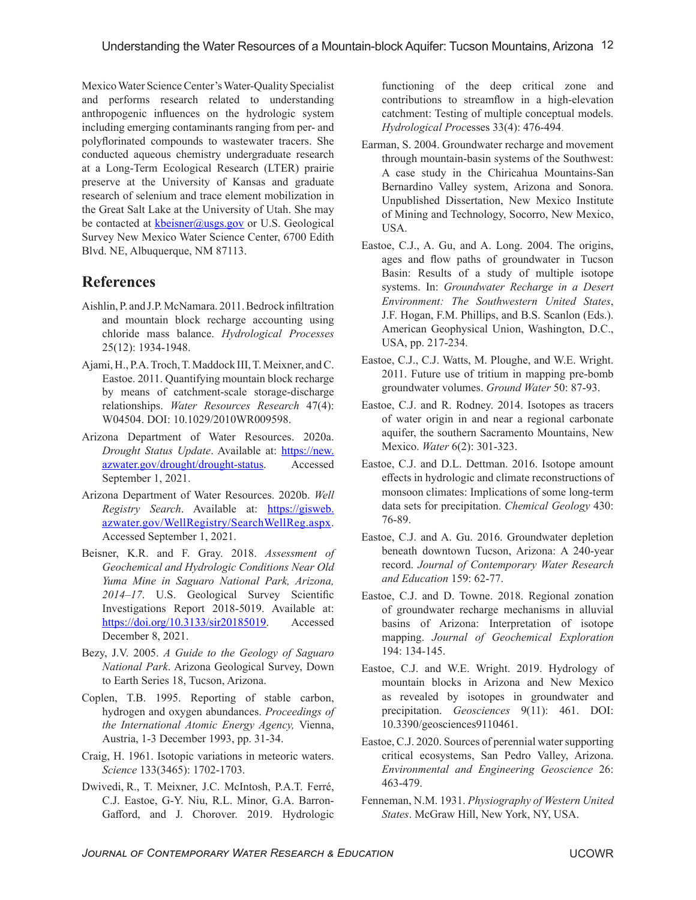Mexico Water Science Center's Water-Quality Specialist and performs research related to understanding anthropogenic influences on the hydrologic system including emerging contaminants ranging from per- and polyflorinated compounds to wastewater tracers. She conducted aqueous chemistry undergraduate research at a Long-Term Ecological Research (LTER) prairie preserve at the University of Kansas and graduate research of selenium and trace element mobilization in the Great Salt Lake at the University of Utah. She may be contacted at  $k$ beisner@usgs.gov or U.S. Geological Survey New Mexico Water Science Center, 6700 Edith Blvd. NE, Albuquerque, NM 87113.

# **References**

- Aishlin, P. and J.P. McNamara. 2011. Bedrock infiltration and mountain block recharge accounting using chloride mass balance. *Hydrological Processes*  25(12): 1934-1948.
- Ajami, H., P.A. Troch, T. Maddock III, T. Meixner, and C. Eastoe. 2011. Quantifying mountain block recharge by means of catchment-scale storage-discharge relationships. *Water Resources Research* 47(4): W04504. DOI: 10.1029/2010WR009598.
- Arizona Department of Water Resources. 2020a. *Drought Status Update*. Available at: [https://new.](https://new.azwater.gov/drought/drought-status) [azwater.gov/drought/drought-status.](https://new.azwater.gov/drought/drought-status) Accessed September 1, 2021.
- Arizona Department of Water Resources. 2020b. *Well Registry Search*. Available at: [https://gisweb.](https://gisweb.azwater.gov/WellRegistry/SearchWellReg.aspx) [azwater.gov/WellRegistry/SearchWellReg.aspx.](https://gisweb.azwater.gov/WellRegistry/SearchWellReg.aspx) Accessed September 1, 2021.
- Beisner, K.R. and F. Gray. 2018. *Assessment of Geochemical and Hydrologic Conditions Near Old Yuma Mine in Saguaro National Park, Arizona, 2014–17*. U.S. Geological Survey Scientific Investigations Report 2018-5019. Available at: <https://doi.org/10.3133/sir20185019>. Accessed December 8, 2021.
- Bezy, J.V. 2005. *A Guide to the Geology of Saguaro National Park*. Arizona Geological Survey, Down to Earth Series 18, Tucson, Arizona.
- Coplen, T.B. 1995. Reporting of stable carbon, hydrogen and oxygen abundances. *Proceedings of the International Atomic Energy Agency,* Vienna, Austria, 1-3 December 1993, pp. 31-34.
- Craig, H. 1961. Isotopic variations in meteoric waters. *Science* 133(3465): 1702-1703.
- Dwivedi, R., T. Meixner, J.C. McIntosh, P.A.T. Ferré, C.J. Eastoe, G-Y. Niu, R.L. Minor, G.A. Barron-Gafford, and J. Chorover. 2019. Hydrologic

functioning of the deep critical zone and contributions to streamflow in a high-elevation catchment: Testing of multiple conceptual models. *Hydrological Proc*esses 33(4): 476-494.

- Earman, S. 2004. Groundwater recharge and movement through mountain-basin systems of the Southwest: A case study in the Chiricahua Mountains-San Bernardino Valley system, Arizona and Sonora. Unpublished Dissertation, New Mexico Institute of Mining and Technology, Socorro, New Mexico, USA.
- Eastoe, C.J., A. Gu, and A. Long. 2004. The origins, ages and flow paths of groundwater in Tucson Basin: Results of a study of multiple isotope systems. In: *Groundwater Recharge in a Desert Environment: The Southwestern United States*, J.F. Hogan, F.M. Phillips, and B.S. Scanlon (Eds.). American Geophysical Union, Washington, D.C., USA, pp. 217-234.
- Eastoe, C.J., C.J. Watts, M. Ploughe, and W.E. Wright. 2011. Future use of tritium in mapping pre-bomb groundwater volumes. *Ground Water* 50: 87-93.
- Eastoe, C.J. and R. Rodney. 2014. Isotopes as tracers of water origin in and near a regional carbonate aquifer, the southern Sacramento Mountains, New Mexico. *Water* 6(2): 301-323.
- Eastoe, C.J. and D.L. Dettman. 2016. Isotope amount effects in hydrologic and climate reconstructions of monsoon climates: Implications of some long-term data sets for precipitation. *Chemical Geology* 430: 76-89.
- Eastoe, C.J. and A. Gu. 2016. Groundwater depletion beneath downtown Tucson, Arizona: A 240-year record. *Journal of Contemporary Water Research and Education* 159: 62-77.
- Eastoe, C.J. and D. Towne. 2018. Regional zonation of groundwater recharge mechanisms in alluvial basins of Arizona: Interpretation of isotope mapping. *Journal of Geochemical Exploration* 194: 134-145.
- Eastoe, C.J. and W.E. Wright. 2019. Hydrology of mountain blocks in Arizona and New Mexico as revealed by isotopes in groundwater and precipitation. *Geosciences* 9(11): 461. DOI: 10.3390/geosciences9110461.
- Eastoe, C.J. 2020. Sources of perennial water supporting critical ecosystems, San Pedro Valley, Arizona. *Environmental and Engineering Geoscience* 26: 463-479.
- Fenneman, N.M. 1931. *Physiography of Western United States*. McGraw Hill, New York, NY, USA.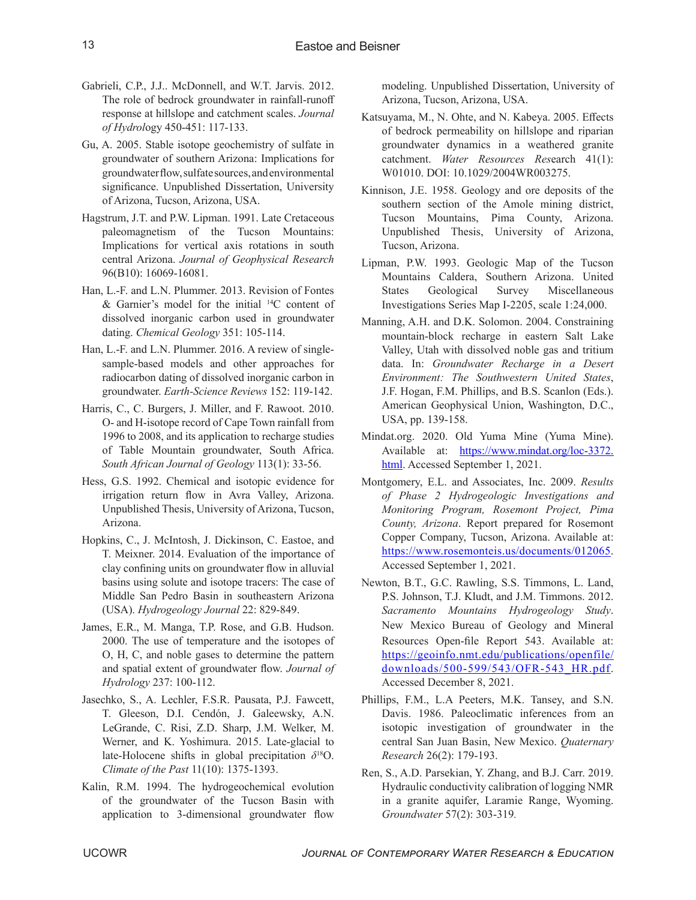- Gabrieli, C.P., J.J.. McDonnell, and W.T. Jarvis. 2012. The role of bedrock groundwater in rainfall-runoff response at hillslope and catchment scales. *Journal of Hydrol*ogy 450-451: 117-133.
- Gu, A. 2005. Stable isotope geochemistry of sulfate in groundwater of southern Arizona: Implications for groundwater flow, sulfate sources, and environmental significance. Unpublished Dissertation, University of Arizona, Tucson, Arizona, USA.
- Hagstrum, J.T. and P.W. Lipman. 1991. Late Cretaceous paleomagnetism of the Tucson Mountains: Implications for vertical axis rotations in south central Arizona. *Journal of Geophysical Research* 96(B10): 16069-16081.
- Han, L.-F. and L.N. Plummer. 2013. Revision of Fontes & Garnier's model for the initial <sup>14</sup>C content of dissolved inorganic carbon used in groundwater dating. *Chemical Geology* 351: 105-114.
- Han, L.-F. and L.N. Plummer. 2016. A review of singlesample-based models and other approaches for radiocarbon dating of dissolved inorganic carbon in groundwater. *Earth-Science Reviews* 152: 119-142.
- Harris, C., C. Burgers, J. Miller, and F. Rawoot. 2010. O- and H-isotope record of Cape Town rainfall from 1996 to 2008, and its application to recharge studies of Table Mountain groundwater, South Africa. *South African Journal of Geology* 113(1): 33-56.
- Hess, G.S. 1992. Chemical and isotopic evidence for irrigation return flow in Avra Valley, Arizona. Unpublished Thesis, University of Arizona, Tucson, Arizona.
- Hopkins, C., J. McIntosh, J. Dickinson, C. Eastoe, and T. Meixner. 2014. Evaluation of the importance of clay confining units on groundwater flow in alluvial basins using solute and isotope tracers: The case of Middle San Pedro Basin in southeastern Arizona (USA). *Hydrogeology Journal* 22: 829-849.
- James, E.R., M. Manga, T.P. Rose, and G.B. Hudson. 2000. The use of temperature and the isotopes of O, H, C, and noble gases to determine the pattern and spatial extent of groundwater flow. *Journal of Hydrology* 237: 100-112.
- Jasechko, S., A. Lechler, F.S.R. Pausata, P.J. Fawcett, T. Gleeson, D.I. Cendón, J. Galeewsky, A.N. LeGrande, C. Risi, Z.D. Sharp, J.M. Welker, M. Werner, and K. Yoshimura. 2015. Late-glacial to late-Holocene shifts in global precipitation *δ* <sup>18</sup>O. *Climate of the Past* 11(10): 1375-1393.
- Kalin, R.M. 1994. The hydrogeochemical evolution of the groundwater of the Tucson Basin with application to 3-dimensional groundwater flow

modeling. Unpublished Dissertation, University of Arizona, Tucson, Arizona, USA.

- Katsuyama, M., N. Ohte, and N. Kabeya. 2005. Effects of bedrock permeability on hillslope and riparian groundwater dynamics in a weathered granite catchment. *Water Resources Res*earch 41(1): W01010. DOI: 10.1029/2004WR003275.
- Kinnison, J.E. 1958. Geology and ore deposits of the southern section of the Amole mining district, Tucson Mountains, Pima County, Arizona. Unpublished Thesis, University of Arizona, Tucson, Arizona.
- Lipman, P.W. 1993. Geologic Map of the Tucson Mountains Caldera, Southern Arizona. United States Geological Survey Miscellaneous Investigations Series Map I-2205, scale 1:24,000.
- Manning, A.H. and D.K. Solomon. 2004. Constraining mountain-block recharge in eastern Salt Lake Valley, Utah with dissolved noble gas and tritium data. In: *Groundwater Recharge in a Desert Environment: The Southwestern United States*, J.F. Hogan, F.M. Phillips, and B.S. Scanlon (Eds.). American Geophysical Union, Washington, D.C., USA, pp. 139-158.
- Mindat.org. 2020. Old Yuma Mine (Yuma Mine). Available at: [https://www.mindat.org/loc-3372.](https://www.mindat.org/loc-3372.html) [html](https://www.mindat.org/loc-3372.html). Accessed September 1, 2021.
- Montgomery, E.L. and Associates, Inc. 2009. *Results of Phase 2 Hydrogeologic Investigations and Monitoring Program, Rosemont Project, Pima County, Arizona*. Report prepared for Rosemont Copper Company, Tucson, Arizona. Available at: [https://www.rosemonteis.us/documents/012065.](https://www.rosemonteis.us/documents/012065) Accessed September 1, 2021.
- Newton, B.T., G.C. Rawling, S.S. Timmons, L. Land, P.S. Johnson, T.J. Kludt, and J.M. Timmons. 2012. *Sacramento Mountains Hydrogeology Study*. New Mexico Bureau of Geology and Mineral Resources Open-file Report 543. Available at: [https://geoinfo.nmt.edu/publications/openfile/](https://geoinfo.nmt.edu/publications/openfile/downloads/500-599/543/OFR-543_HR.pdf) [downloads/500-599/543/OFR-543\\_HR.pdf.](https://geoinfo.nmt.edu/publications/openfile/downloads/500-599/543/OFR-543_HR.pdf) Accessed December 8, 2021.
- Phillips, F.M., L.A Peeters, M.K. Tansey, and S.N. Davis. 1986. Paleoclimatic inferences from an isotopic investigation of groundwater in the central San Juan Basin, New Mexico. *Quaternary Research* 26(2): 179-193.
- Ren, S., A.D. Parsekian, Y. Zhang, and B.J. Carr. 2019. Hydraulic conductivity calibration of logging NMR in a granite aquifer, Laramie Range, Wyoming. *Groundwater* 57(2): 303-319*.*